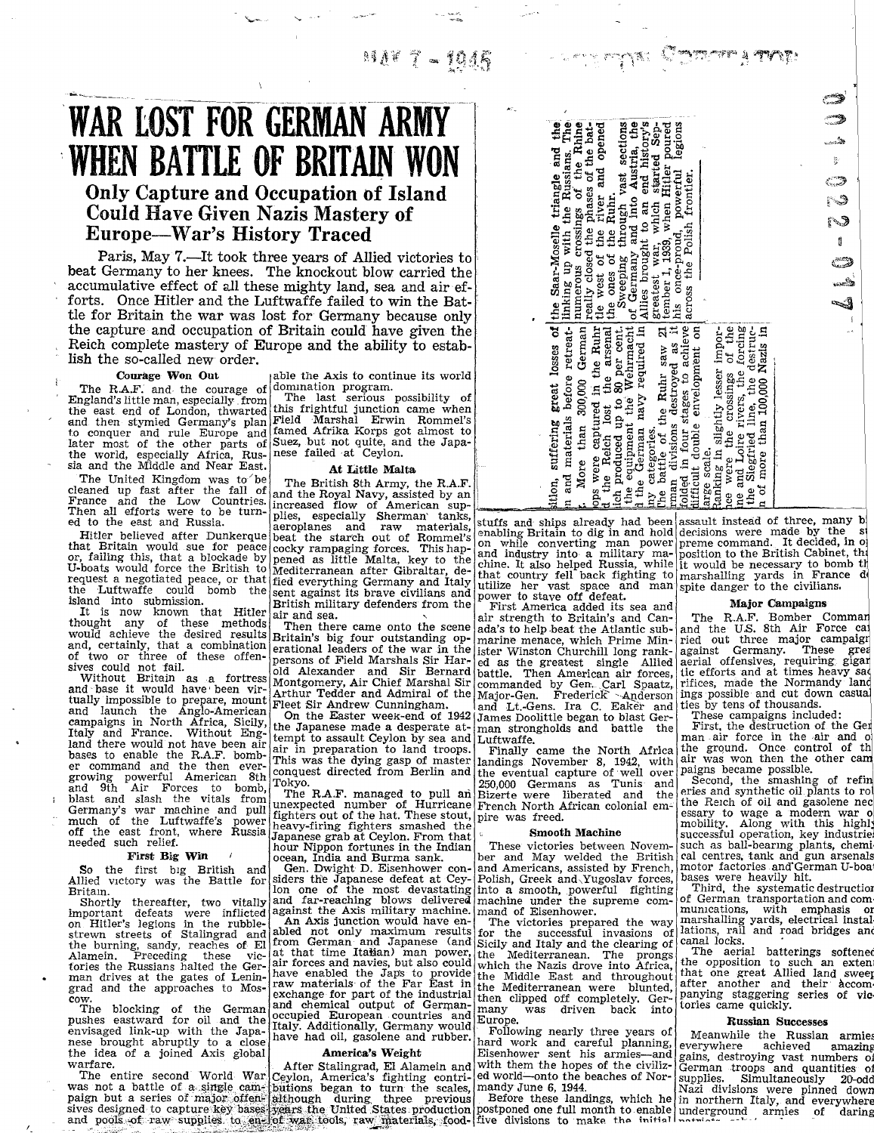経済学 字 - 1046

# WAR LOST FOR GERMAN ARMY WHEN BATTLE OF BRITAIN WON Only Capture and Occupation of Island Could Have Given Nazis Mastery of Europe-War's History Traced

Paris, May 7.-It took three years of Allied victories to beat Germany to her knees. The knockout blow carried the accumulative effect of all these mighty land, sea and air ef forts. Once Hitler and the Luftwaffe failed to win the Battle for Britain the war was lost for Germany because only the capture and occupation of Britain could have given the Reich complete mastery of Europe and the ability to establish the so-called new order.

Courage Won Out

The R.A.F. and the courage of England's little man, especially from the east end of London, thwarted and then stymied Germany's plan to conquer and rule Europe and later most of the other parts of the world, especially Africa, Rus-sia and the Middle and Near East.

The United Kingdom was to'be cleaned up fast after the fall of France and the Low Countries . Then all efforts were to be turned to the east and Russia.

Hitler believed after Dunkerque that Britain would sue for peace or, failing this, that a blockade by U-boats would force the British to request a negotiated peace, or that the Luftwaffe could bomb the island into submission.

It is now known that Hitler thought any of these methods would achieve the desired results and, certainly, that a combination

of two or three of these offensives could not fail.<br>Sives could not fail.<br>Without Britain as a fortress<br>and base it would have been vir-<br>tually impossible to prepare, mount<br>and launch the Anglo-American<br>campaigns in North bases to enable the R.A.F. bomber command and the then over-growing powerful American 8th and 9th Air Forces to bomb, blast and slash the vitals from Germany's war machine and pull much of the Luftwaffe's power off the east front, where Russia needed such relief.

#### First Big Win

So the first big British and Allied victory was the Battle for Britain .

Shortly thereafter, two vitally important defeats were inflicted on Hitler's legions in the rubble-strewn streets of Stalingrad and the burning, sandy, reaches of El Alamein . Preceding these victories the Russians halted the German drives at the gates of Lenin-grad and the approaches to Mos-

cow. The blocking of the German pushes eastward for oil and the envisaged link-up with the Japanese brought abruptly to a close<br>the idea of a joined Axis global

the idea of a joined Axis global<br>warfare.<br>The entire second World War<br>was not a battle of a single cam-<br>paign but a series of major offen-<br>sives designed to capture key bases<br>and pools of raw-supplies to en-

able the Axis to continue its world domination program. The last serious possibility of

this frightful junction came when Field -Marshal Erwin Rommel's famed Afrika Korps got almost to Suez, but not quite, and the Japa-nese failed at Ceylon.

### At Little Malta

The British 8th Army, the R.A.F.

and the Royal Navy, assisted by an increased flow of American sup-<br>plies, especially Sherman' tanks,<br>aeroplanes and raw materials,<br>beat the starch out of Rommel's<br>cocky rampaging forces. This hap-<br>pened as little Malta, ke Mediterranean after Gibraltar, defied everything Germany and Italy sent against its brave civilians and British military defenders from the air and sea.

Then there came onto the scene Britain's big four outstanding operational leaders of the war in the persons of Field Marshals Sir Har-old Alexander and Sir Bernard Montgomery, Air Chief Marshal Sir Arthur Tedder and Admiral of the

the Japanese made a desperate attempt to assault Ceylon by sea and Luftwaffe. air in preparation to land troops. This was the dying gasp of master conquest directed from Berlin and Tokyo.

The R.A.F. managed to pull an unexpected number of Hurricane fighters out of the hat. These stout, heavy-firing fighters smashed the Japanese grab at Ceylon. From that

hour Nippon fortunes in the Indian ocean, India and Burma sank.

Gen. Dwight D. Eisenhower con-siders the Japanese defeat at Cey-lon one of the most devastating and far-reaching blows delivered against the Axis military machine. An Axis junction would have enabled not only maximum results<br>from German and Japanese (and<br>at that time Italian) man nouve at that time Itaban) man power, air forces and navies, but also could have enabled the Japs to provide<br>raw materials of the Far East in<br>exchange for part of the industrial<br>and chemical output of Germanoccupied European countries and Italy . Additionally, Germany would have had oil, gasolene and rubber.

## America's Weight

After Stalingrad, El Alamein and<br>Ceylon, America's fighting contri-<br>butions began to turn the scales,<br>although during, three previous<br>years the United States production<br>of war tools, raw materials, food-

| legions<br>sition, suffering great losses of the Saar-Moselle triangle and the<br>n and materials before retreat-linking up with the Russians. The More than 300 000 Carmon lumerous crossings of the Rhine<br>Sweeping through vast sections<br>of Germany and into Austria, the<br>tle west of the river and opened<br>Allies brought to an end history's greatest war, which started Sep-<br>tember 1, 1939, when Hitler poured<br>really closed the phases of the bat-<br>his once-proud, powerful<br>across the Polish frontier.<br>the ones of the Ruhr. | ್<br>و <del>سم</del><br>تع <sub>ديم</sub> ة<br>تصدير |
|----------------------------------------------------------------------------------------------------------------------------------------------------------------------------------------------------------------------------------------------------------------------------------------------------------------------------------------------------------------------------------------------------------------------------------------------------------------------------------------------------------------------------------------------------------------|------------------------------------------------------|
| The battle of the Ruhr saw $21$ man divisions destroyed as it<br>More than 300,000 German<br>ich produced up to 80 per cent.<br>the equipment the Wehrmacht<br>1 the German navy required in<br>folded in four stages to achieve<br>ops were captured in the Ruhr<br>lifficult double envelopment on<br>ice were the crossings of the<br>ne and Loire rivers, the forcing<br>the Siegfried line, the destruc-<br>the Reich lost the arsenal<br>tanking in slightly lesser impor-<br>n of more than 100,000 Nazis in<br>ny categories.<br>arge scale.           |                                                      |

- 1989 - 1989 Samara yang

stuffs and ships already had been assault instead of three, many b<br>enabling Britain to dig in and hold decisions were made by the st<br>on while converting man power preme command. It decided, in o<br>and industry into a militar

Fleet Sir Andrew Cunningham. and Lt.-Gens. Ira C. Eaker and On the Easter week-end of 1942 James Doolittle began to blast Gerair strength to Britain's and Canada's to help beat the Atlantic submarine menace, which Prime Min-ister Winston Churchill long ranked as the greatest single Allied battle. Then American air forces, commanded by Gen. Carl Spaatz,<br>Major-Gen. Frederick - Anderson man strongholds and battle the

Finally came the North Africa landings November 8, 1942, with the eventual capture of well over<br>250.000 Germans as Tunis and 250,000 Germans as Tunis and<br>Bizerte-were liberated and the Bizerte were liberated and the French North African colonial emlpire was freed.

#### Smooth Machine

These victories between November and May welded the British and Americans, assisted by French, Polish, Greek and~Yugoslav forces, into a smooth, powerful fighting machine under the supreme com-mand of Eisenhower.

The victories prepared the way for the successful invasions of Sicily and Italy and the clearing of<br>the Mediterranean. The prongs Mediterranean. The prongs which the Nazis drove into Africa, the Middle East and throughout the Mediterranean were blunted, then clipped off completely. Ger-many was driven back into Europe.

Following nearly three years of hard work and careful planning,<br>Eisenhower sent his armies-and with them the hopes of the civilized world—onto the beaches of Nor-<br>mandy June 6, 1944.<br>method and Before these landings, which he<br>postponed one full month to enable<br>five divisions to make the initial

**Andrew Street** 

The R.A.F. Bomber Comman<br>and the U.S. 8th Air Force ca<br>ried out three major campaig against Germany. These gre aerial offensives, requiring: giga tic efforts and at times heavy sa rifices, made the Normandy Ian ings possible and cut down casua ties by tens of thousands . These campaigns included :

First, the destruction of the Ger man air force in the air and o<br>the ground. Once control of th<br>air was won then the other cam paigns became possible.

Second, the smashing of refineries and synthetic oil plants to rot the Reich of oil and gasolene nec essary to wage a modern war o mobility. Along with this highll successful operation, key industrie such as ball-bearing plants, chemi. cal centres, tank and gun arsenals motor factories and' German U-boar bases were heavily hit .

Third, the systematic destruction of German transportation and communications, with emphasis or<br>marshalling yards, electrical instal<br>lations, rail and road bridges and<br>canal locks.

The aerial batterings softened the opposition to such an extent that one great Allied land sweet after another and their Accom. panying staggering series of vie tories came quickly.

### Russian Successes

Meanwhile the Russian armies<br>everywhere achieved amazing gains, destroying vast numbers of gains, destroying vast numbers of German troops and quantities of supplies . Simultaneously 20-odd Nazi divisions were pinned down in northern Italy, and everywhere underground armies of daring